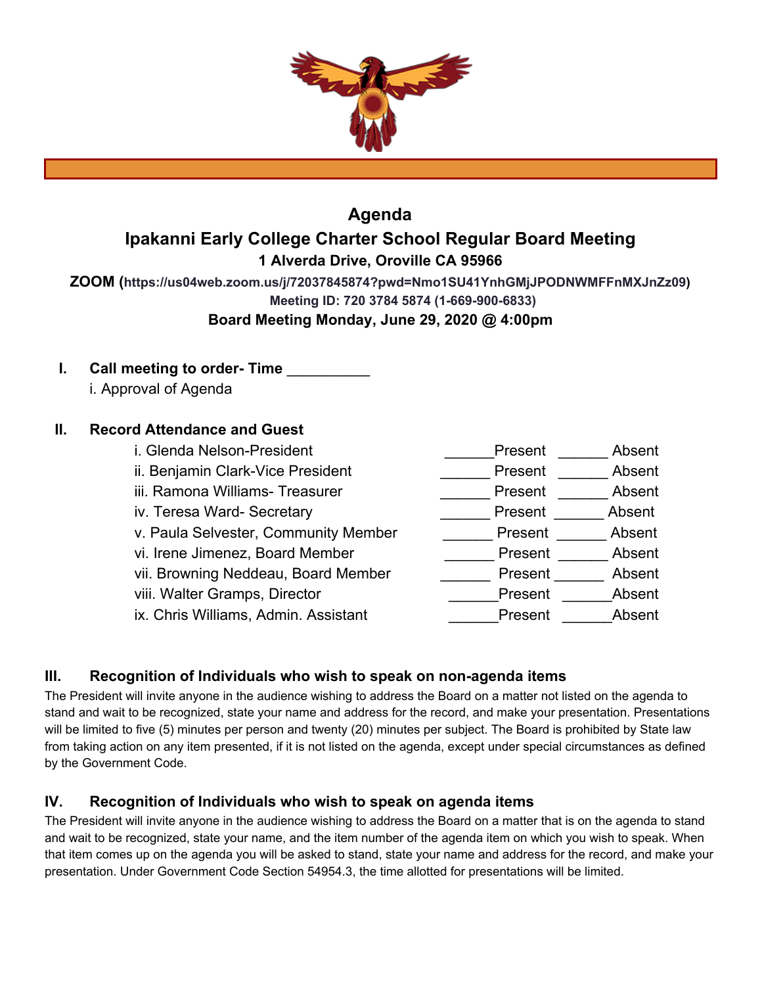

## **Agenda Ipakanni Early College Charter School Regular Board Meeting 1 Alverda Drive, Oroville CA 95966**

**ZOOM (https://us04web.zoom.us/j/72037845874?pwd=Nmo1SU41YnhGMjJPODNWMFFnMXJnZz09) Meeting ID: 720 3784 5874 (1-669-900-6833)**

**Board Meeting Monday, June 29, 2020 @ 4:00pm**

**I.** Call meeting to order- Time i. Approval of Agenda

### **II. Record Attendance and Guest**

| i. Glenda Nelson-President           | Present<br>Absent |
|--------------------------------------|-------------------|
| ii. Benjamin Clark-Vice President    | Absent<br>Present |
| iii. Ramona Williams- Treasurer      | Absent<br>Present |
| iv. Teresa Ward- Secretary           | Present<br>Absent |
| v. Paula Selvester, Community Member | Absent<br>Present |
| vi. Irene Jimenez, Board Member      | Absent<br>Present |
| vii. Browning Neddeau, Board Member  | Absent<br>Present |
| viii. Walter Gramps, Director        | Absent<br>Present |
| ix. Chris Williams, Admin. Assistant | Present<br>Absent |
|                                      |                   |

### **III. Recognition of Individuals who wish to speak on non-agenda items**

The President will invite anyone in the audience wishing to address the Board on a matter not listed on the agenda to stand and wait to be recognized, state your name and address for the record, and make your presentation. Presentations will be limited to five (5) minutes per person and twenty (20) minutes per subject. The Board is prohibited by State law from taking action on any item presented, if it is not listed on the agenda, except under special circumstances as defined by the Government Code.

### **IV. Recognition of Individuals who wish to speak on agenda items**

The President will invite anyone in the audience wishing to address the Board on a matter that is on the agenda to stand and wait to be recognized, state your name, and the item number of the agenda item on which you wish to speak. When that item comes up on the agenda you will be asked to stand, state your name and address for the record, and make your presentation. Under Government Code Section 54954.3, the time allotted for presentations will be limited.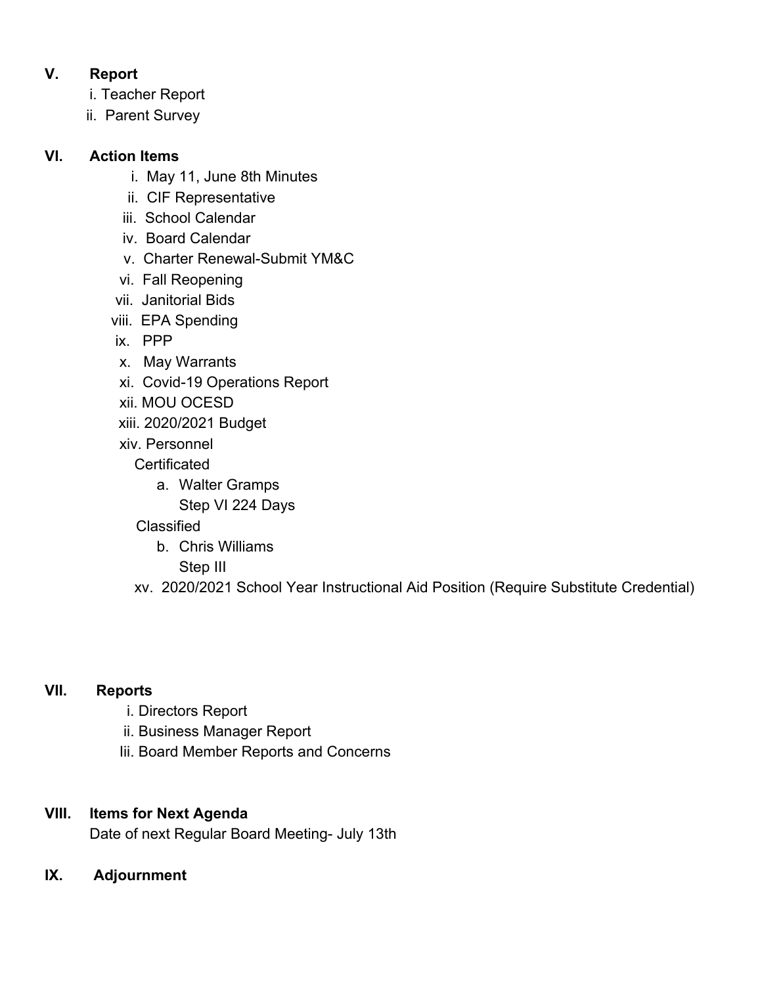## **V. Report**

- i. Teacher Report
- ii. Parent Survey

## **VI. Action Items**

- i. May 11, June 8th Minutes
- ii. CIF Representative
- iii. School Calendar
- iv. Board Calendar
- v. Charter Renewal-Submit YM&C
- vi. Fall Reopening
- vii. Janitorial Bids
- viii. EPA Spending
- ix. PPP
- x. May Warrants
- xi. Covid-19 Operations Report
- xii. MOU OCESD
- xiii. 2020/2021 Budget
- xiv. Personnel
	- **Certificated** 
		- a. Walter Gramps
			- Step VI 224 Days
	- Classified
		- b. Chris Williams
			- Step III
	- xv. 2020/2021 School Year Instructional Aid Position (Require Substitute Credential)

# **VII. Reports**

- i. Directors Report
- ii. Business Manager Report
- Iii. Board Member Reports and Concerns

## **VIII. Items for Next Agenda**

Date of next Regular Board Meeting- July 13th

**IX. Adjournment**